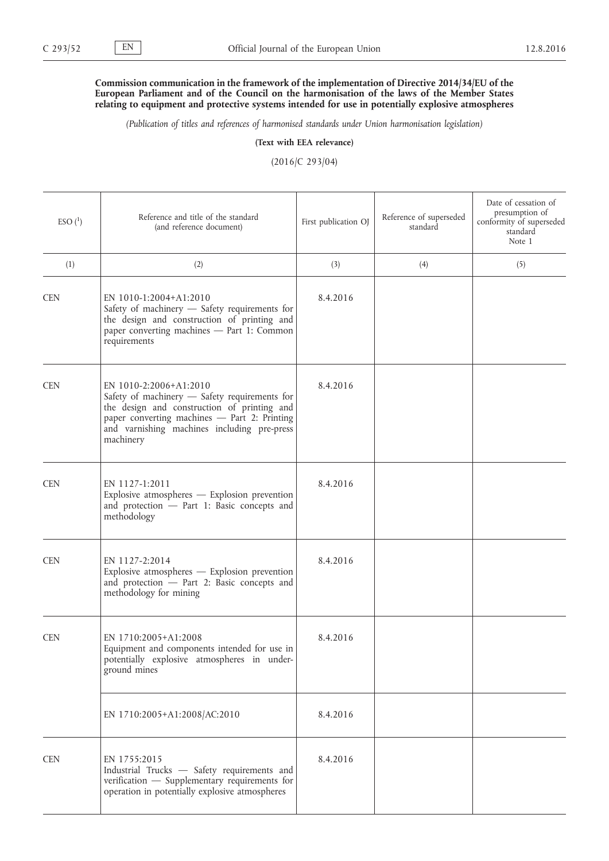## **Commission communication in the framework of the implementation of Directive 2014/34/EU of the European Parliament and of the Council on the harmonisation of the laws of the Member States relating to equipment and protective systems intended for use in potentially explosive atmospheres**

*(Publication of titles and references of harmonised standards under Union harmonisation legislation)*

**(Text with EEA relevance)**

(2016/C 293/04)

| $ESO(^{1})$ | Reference and title of the standard<br>(and reference document)                                                                                                                                                                    | First publication OJ | Reference of superseded<br>standard | Date of cessation of<br>presumption of<br>conformity of superseded<br>standard<br>Note 1 |
|-------------|------------------------------------------------------------------------------------------------------------------------------------------------------------------------------------------------------------------------------------|----------------------|-------------------------------------|------------------------------------------------------------------------------------------|
| (1)         | (2)                                                                                                                                                                                                                                | (3)                  | (4)                                 | (5)                                                                                      |
| <b>CEN</b>  | EN 1010-1:2004+A1:2010<br>Safety of machinery - Safety requirements for<br>the design and construction of printing and<br>paper converting machines - Part 1: Common<br>requirements                                               | 8.4.2016             |                                     |                                                                                          |
| <b>CEN</b>  | EN 1010-2:2006+A1:2010<br>Safety of machinery - Safety requirements for<br>the design and construction of printing and<br>paper converting machines - Part 2: Printing<br>and varnishing machines including pre-press<br>machinery | 8.4.2016             |                                     |                                                                                          |
| <b>CEN</b>  | EN 1127-1:2011<br>Explosive atmospheres - Explosion prevention<br>and protection - Part 1: Basic concepts and<br>methodology                                                                                                       | 8.4.2016             |                                     |                                                                                          |
| <b>CEN</b>  | EN 1127-2:2014<br>Explosive atmospheres - Explosion prevention<br>and protection - Part 2: Basic concepts and<br>methodology for mining                                                                                            | 8.4.2016             |                                     |                                                                                          |
| <b>CEN</b>  | EN 1710:2005+A1:2008<br>Equipment and components intended for use in<br>potentially explosive atmospheres in under-<br>ground mines                                                                                                | 8.4.2016             |                                     |                                                                                          |
|             | EN 1710:2005+A1:2008/AC:2010                                                                                                                                                                                                       | 8.4.2016             |                                     |                                                                                          |
| <b>CEN</b>  | EN 1755:2015<br>Industrial Trucks - Safety requirements and<br>verification - Supplementary requirements for<br>operation in potentially explosive atmospheres                                                                     | 8.4.2016             |                                     |                                                                                          |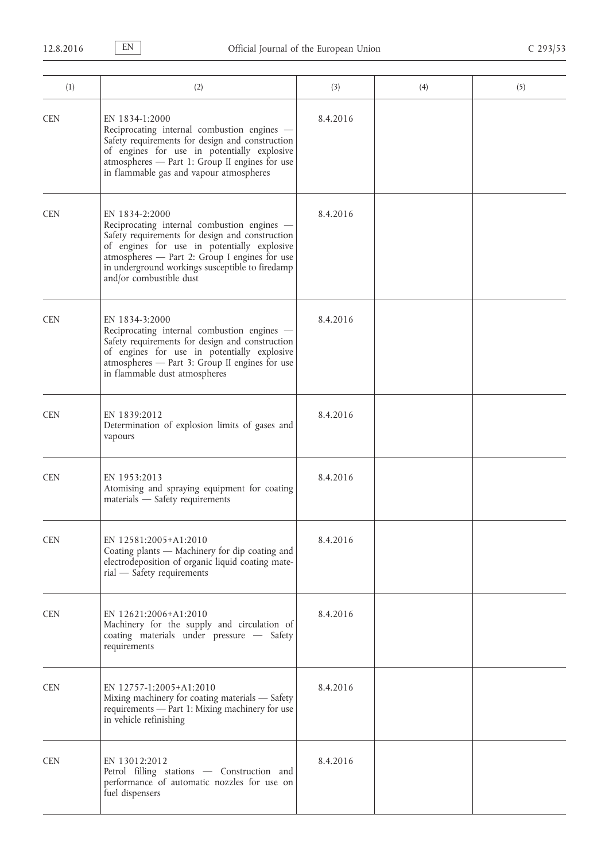| (1)        | (2)                                                                                                                                                                                                                                                                                            | (3)      | (4) | (5) |
|------------|------------------------------------------------------------------------------------------------------------------------------------------------------------------------------------------------------------------------------------------------------------------------------------------------|----------|-----|-----|
| <b>CEN</b> | EN 1834-1:2000<br>Reciprocating internal combustion engines -<br>Safety requirements for design and construction<br>of engines for use in potentially explosive<br>atmospheres - Part 1: Group II engines for use<br>in flammable gas and vapour atmospheres                                   | 8.4.2016 |     |     |
| <b>CEN</b> | EN 1834-2:2000<br>Reciprocating internal combustion engines -<br>Safety requirements for design and construction<br>of engines for use in potentially explosive<br>atmospheres - Part 2: Group I engines for use<br>in underground workings susceptible to firedamp<br>and/or combustible dust | 8.4.2016 |     |     |
| <b>CEN</b> | EN 1834-3:2000<br>Reciprocating internal combustion engines -<br>Safety requirements for design and construction<br>of engines for use in potentially explosive<br>atmospheres - Part 3: Group II engines for use<br>in flammable dust atmospheres                                             | 8.4.2016 |     |     |
| <b>CEN</b> | EN 1839:2012<br>Determination of explosion limits of gases and<br>vapours                                                                                                                                                                                                                      | 8.4.2016 |     |     |
| <b>CEN</b> | EN 1953:2013<br>Atomising and spraying equipment for coating<br>materials - Safety requirements                                                                                                                                                                                                | 8.4.2016 |     |     |
| <b>CEN</b> | EN 12581:2005+A1:2010<br>Coating plants - Machinery for dip coating and<br>electrodeposition of organic liquid coating mate-<br>rial - Safety requirements                                                                                                                                     | 8.4.2016 |     |     |
| <b>CEN</b> | EN 12621:2006+A1:2010<br>Machinery for the supply and circulation of<br>coating materials under pressure - Safety<br>requirements                                                                                                                                                              | 8.4.2016 |     |     |
| <b>CEN</b> | EN 12757-1:2005+A1:2010<br>Mixing machinery for coating materials - Safety<br>requirements - Part 1: Mixing machinery for use<br>in vehicle refinishing                                                                                                                                        | 8.4.2016 |     |     |
| <b>CEN</b> | EN 13012:2012<br>Petrol filling stations - Construction and<br>performance of automatic nozzles for use on<br>fuel dispensers                                                                                                                                                                  | 8.4.2016 |     |     |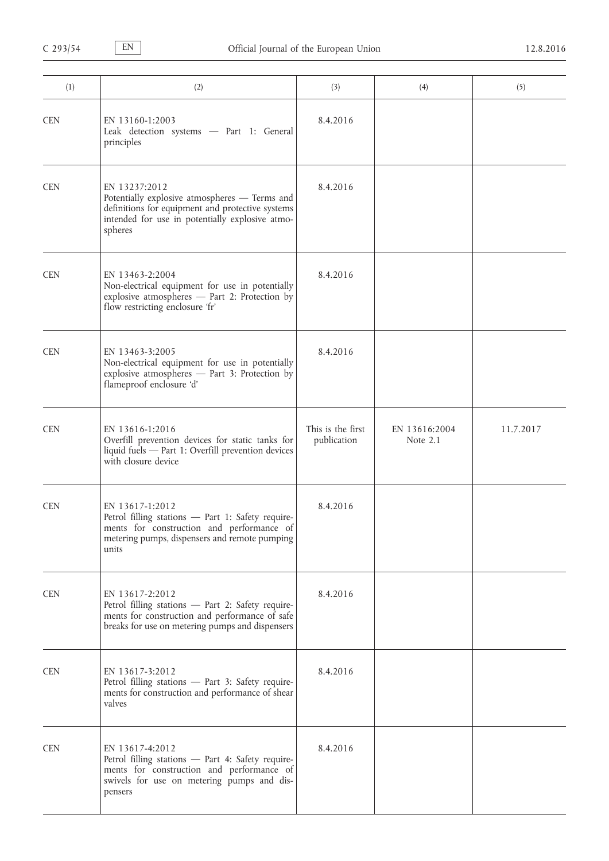| (1)        | (2)                                                                                                                                                                              | (3)                              | (4)                         | (5)       |
|------------|----------------------------------------------------------------------------------------------------------------------------------------------------------------------------------|----------------------------------|-----------------------------|-----------|
| <b>CEN</b> | EN 13160-1:2003<br>Leak detection systems - Part 1: General<br>principles                                                                                                        | 8.4.2016                         |                             |           |
| <b>CEN</b> | EN 13237:2012<br>Potentially explosive atmospheres - Terms and<br>definitions for equipment and protective systems<br>intended for use in potentially explosive atmo-<br>spheres | 8.4.2016                         |                             |           |
| <b>CEN</b> | EN 13463-2:2004<br>Non-electrical equipment for use in potentially<br>explosive atmospheres - Part 2: Protection by<br>flow restricting enclosure 'fr'                           | 8.4.2016                         |                             |           |
| <b>CEN</b> | EN 13463-3:2005<br>Non-electrical equipment for use in potentially<br>explosive atmospheres - Part 3: Protection by<br>flameproof enclosure 'd'                                  | 8.4.2016                         |                             |           |
| <b>CEN</b> | EN 13616-1:2016<br>Overfill prevention devices for static tanks for<br>liquid fuels - Part 1: Overfill prevention devices<br>with closure device                                 | This is the first<br>publication | EN 13616:2004<br>Note $2.1$ | 11.7.2017 |
| <b>CEN</b> | EN 13617-1:2012<br>Petrol filling stations - Part 1: Safety require-<br>ments for construction and performance of<br>metering pumps, dispensers and remote pumping<br>units      | 8.4.2016                         |                             |           |
| <b>CEN</b> | EN 13617-2:2012<br>Petrol filling stations - Part 2: Safety require-<br>ments for construction and performance of safe<br>breaks for use on metering pumps and dispensers        | 8.4.2016                         |                             |           |
| <b>CEN</b> | EN 13617-3:2012<br>Petrol filling stations - Part 3: Safety require-<br>ments for construction and performance of shear<br>valves                                                | 8.4.2016                         |                             |           |
| <b>CEN</b> | EN 13617-4:2012<br>Petrol filling stations - Part 4: Safety require-<br>ments for construction and performance of<br>swivels for use on metering pumps and dis-<br>pensers       | 8.4.2016                         |                             |           |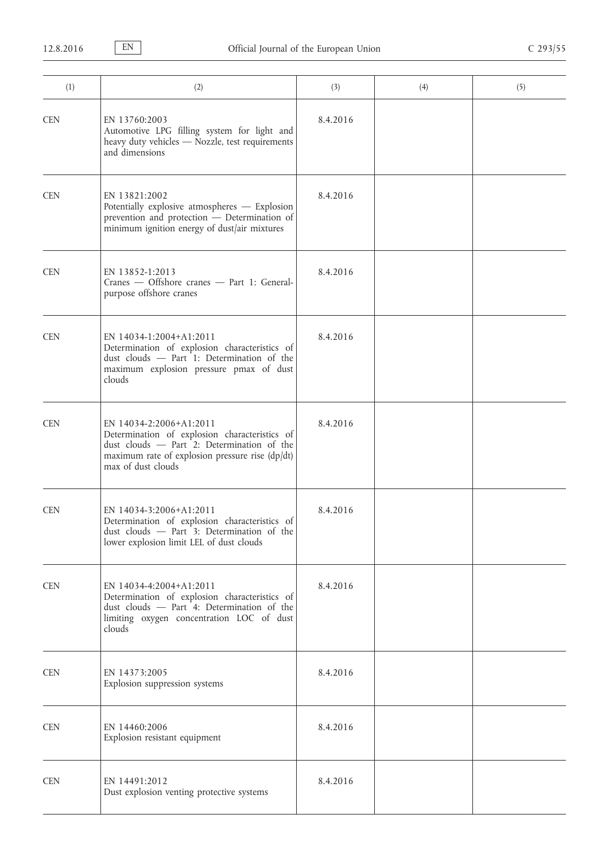| (1)        | (2)                                                                                                                                                                                             | (3)      | (4) | (5) |
|------------|-------------------------------------------------------------------------------------------------------------------------------------------------------------------------------------------------|----------|-----|-----|
| <b>CEN</b> | EN 13760:2003<br>Automotive LPG filling system for light and<br>heavy duty vehicles - Nozzle, test requirements<br>and dimensions                                                               | 8.4.2016 |     |     |
| <b>CEN</b> | EN 13821:2002<br>Potentially explosive atmospheres - Explosion<br>prevention and protection - Determination of<br>minimum ignition energy of dust/air mixtures                                  | 8.4.2016 |     |     |
| <b>CEN</b> | EN 13852-1:2013<br>Cranes - Offshore cranes - Part 1: General-<br>purpose offshore cranes                                                                                                       | 8.4.2016 |     |     |
| <b>CEN</b> | EN 14034-1:2004+A1:2011<br>Determination of explosion characteristics of<br>dust clouds - Part 1: Determination of the<br>maximum explosion pressure pmax of dust<br>clouds                     | 8.4.2016 |     |     |
| <b>CEN</b> | EN 14034-2:2006+A1:2011<br>Determination of explosion characteristics of<br>dust clouds - Part 2: Determination of the<br>maximum rate of explosion pressure rise (dp/dt)<br>max of dust clouds | 8.4.2016 |     |     |
| <b>CEN</b> | EN 14034-3:2006+A1:2011<br>Determination of explosion characteristics of<br>dust clouds - Part 3: Determination of the<br>lower explosion limit LEL of dust clouds                              | 8.4.2016 |     |     |
| <b>CEN</b> | EN 14034-4:2004+A1:2011<br>Determination of explosion characteristics of<br>dust clouds - Part 4: Determination of the<br>limiting oxygen concentration LOC of dust<br>clouds                   | 8.4.2016 |     |     |
| <b>CEN</b> | EN 14373:2005<br>Explosion suppression systems                                                                                                                                                  | 8.4.2016 |     |     |
| <b>CEN</b> | EN 14460:2006<br>Explosion resistant equipment                                                                                                                                                  | 8.4.2016 |     |     |
| <b>CEN</b> | EN 14491:2012<br>Dust explosion venting protective systems                                                                                                                                      | 8.4.2016 |     |     |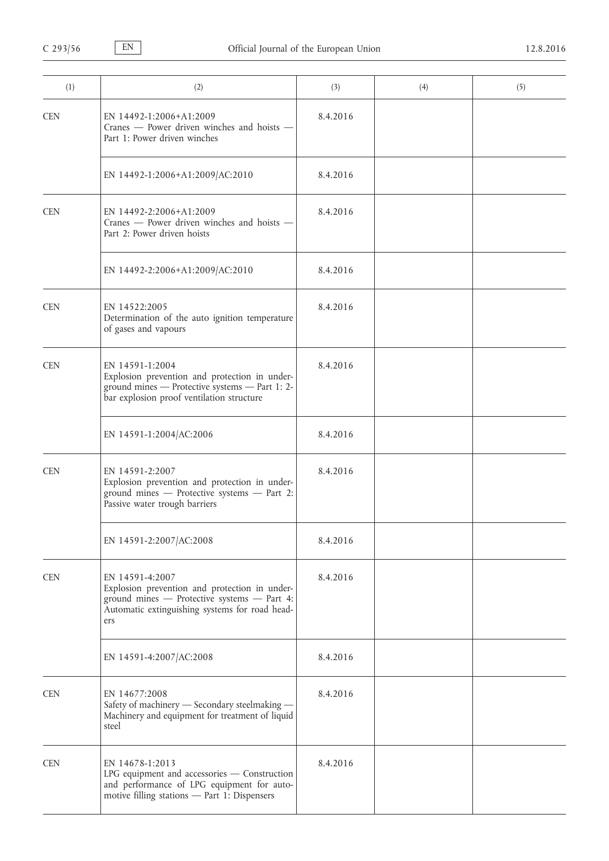| (1)        | (2)                                                                                                                                                                      | (3)      | (4) | (5) |
|------------|--------------------------------------------------------------------------------------------------------------------------------------------------------------------------|----------|-----|-----|
| <b>CEN</b> | EN 14492-1:2006+A1:2009<br>Cranes - Power driven winches and hoists -<br>Part 1: Power driven winches                                                                    | 8.4.2016 |     |     |
|            | EN 14492-1:2006+A1:2009/AC:2010                                                                                                                                          | 8.4.2016 |     |     |
| <b>CEN</b> | EN 14492-2:2006+A1:2009<br>Cranes - Power driven winches and hoists -<br>Part 2: Power driven hoists                                                                     | 8.4.2016 |     |     |
|            | EN 14492-2:2006+A1:2009/AC:2010                                                                                                                                          | 8.4.2016 |     |     |
| <b>CEN</b> | EN 14522:2005<br>Determination of the auto ignition temperature<br>of gases and vapours                                                                                  | 8.4.2016 |     |     |
| <b>CEN</b> | EN 14591-1:2004<br>Explosion prevention and protection in under-<br>ground mines - Protective systems - Part 1: 2-<br>bar explosion proof ventilation structure          | 8.4.2016 |     |     |
|            | EN 14591-1:2004/AC:2006                                                                                                                                                  | 8.4.2016 |     |     |
| <b>CEN</b> | EN 14591-2:2007<br>Explosion prevention and protection in under-<br>ground mines - Protective systems - Part 2:<br>Passive water trough barriers                         | 8.4.2016 |     |     |
|            | EN 14591-2:2007/AC:2008                                                                                                                                                  | 8.4.2016 |     |     |
| <b>CEN</b> | EN 14591-4:2007<br>Explosion prevention and protection in under-<br>ground mines - Protective systems - Part 4:<br>Automatic extinguishing systems for road head-<br>ers | 8.4.2016 |     |     |
|            | EN 14591-4:2007/AC:2008                                                                                                                                                  | 8.4.2016 |     |     |
| <b>CEN</b> | EN 14677:2008<br>Safety of machinery - Secondary steelmaking -<br>Machinery and equipment for treatment of liquid<br>steel                                               | 8.4.2016 |     |     |
| <b>CEN</b> | EN 14678-1:2013<br>LPG equipment and accessories - Construction<br>and performance of LPG equipment for auto-<br>motive filling stations - Part 1: Dispensers            | 8.4.2016 |     |     |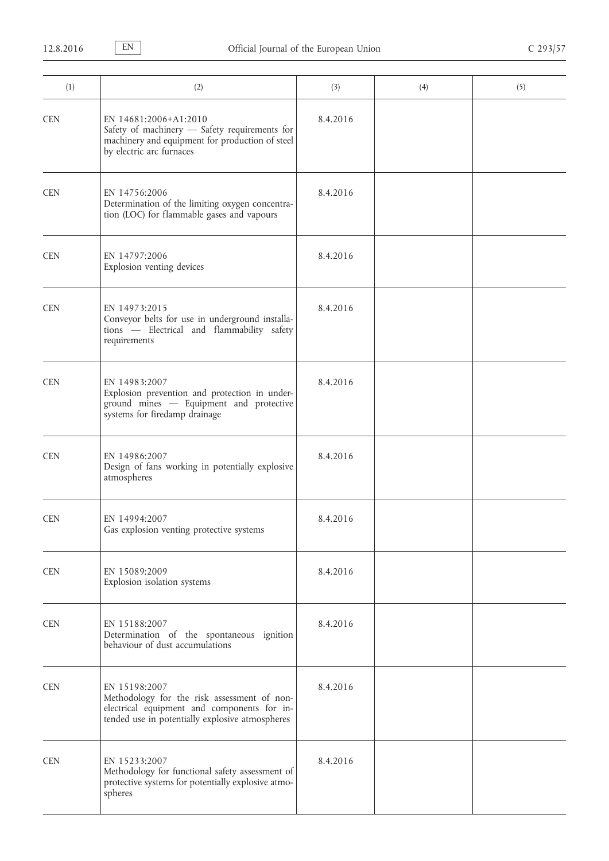| (1)        | (2)                                                                                                                                                            | (3)      | (4) | (5) |
|------------|----------------------------------------------------------------------------------------------------------------------------------------------------------------|----------|-----|-----|
| <b>CEN</b> | EN 14681:2006+A1:2010<br>Safety of machinery - Safety requirements for<br>machinery and equipment for production of steel<br>by electric arc furnaces          | 8.4.2016 |     |     |
| <b>CEN</b> | EN 14756:2006<br>Determination of the limiting oxygen concentra-<br>tion (LOC) for flammable gases and vapours                                                 | 8.4.2016 |     |     |
| <b>CEN</b> | EN 14797:2006<br>Explosion venting devices                                                                                                                     | 8.4.2016 |     |     |
| <b>CEN</b> | EN 14973:2015<br>Conveyor belts for use in underground installa-<br>tions - Electrical and flammability safety<br>requirements                                 | 8.4.2016 |     |     |
| <b>CEN</b> | EN 14983:2007<br>Explosion prevention and protection in under-<br>ground mines - Equipment and protective<br>systems for firedamp drainage                     | 8.4.2016 |     |     |
| <b>CEN</b> | EN 14986:2007<br>Design of fans working in potentially explosive<br>atmospheres                                                                                | 8.4.2016 |     |     |
| <b>CEN</b> | EN 14994:2007<br>Gas explosion venting protective systems                                                                                                      | 8.4.2016 |     |     |
| <b>CEN</b> | EN 15089:2009<br>Explosion isolation systems                                                                                                                   | 8.4.2016 |     |     |
| <b>CEN</b> | EN 15188:2007<br>Determination of the spontaneous ignition<br>behaviour of dust accumulations                                                                  | 8.4.2016 |     |     |
| <b>CEN</b> | EN 15198:2007<br>Methodology for the risk assessment of non-<br>electrical equipment and components for in-<br>tended use in potentially explosive atmospheres | 8.4.2016 |     |     |
| <b>CEN</b> | EN 15233:2007<br>Methodology for functional safety assessment of<br>protective systems for potentially explosive atmo-<br>spheres                              | 8.4.2016 |     |     |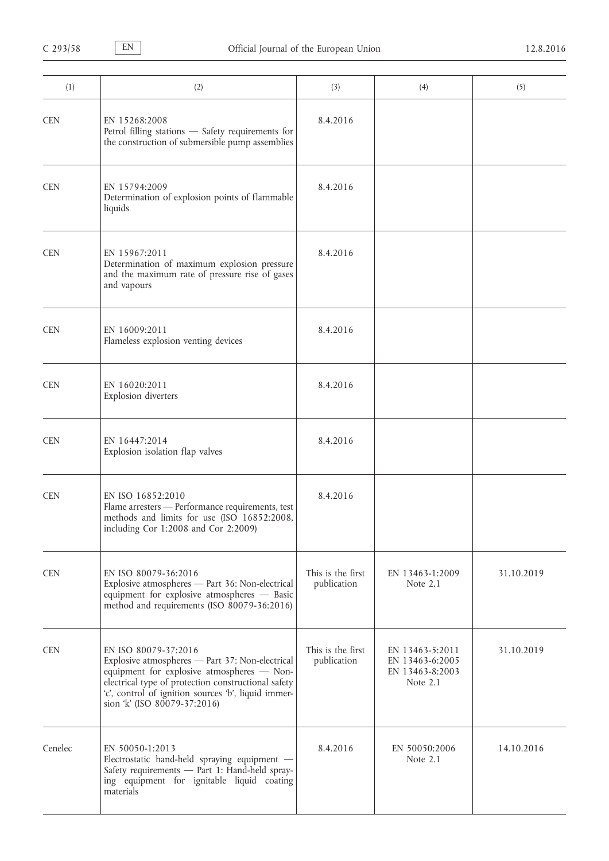| (1)        | (2)                                                                                                                                                                                                                                                                 | (3)                              | (4)                                                               | (5)        |
|------------|---------------------------------------------------------------------------------------------------------------------------------------------------------------------------------------------------------------------------------------------------------------------|----------------------------------|-------------------------------------------------------------------|------------|
| <b>CEN</b> | EN 15268:2008<br>Petrol filling stations - Safety requirements for<br>the construction of submersible pump assemblies                                                                                                                                               | 8.4.2016                         |                                                                   |            |
| <b>CEN</b> | EN 15794:2009<br>Determination of explosion points of flammable<br>liquids                                                                                                                                                                                          | 8.4.2016                         |                                                                   |            |
| <b>CEN</b> | EN 15967:2011<br>Determination of maximum explosion pressure<br>and the maximum rate of pressure rise of gases<br>and vapours                                                                                                                                       | 8.4.2016                         |                                                                   |            |
| <b>CEN</b> | EN 16009:2011<br>Flameless explosion venting devices                                                                                                                                                                                                                | 8.4.2016                         |                                                                   |            |
| <b>CEN</b> | EN 16020:2011<br>Explosion diverters                                                                                                                                                                                                                                | 8.4.2016                         |                                                                   |            |
| <b>CEN</b> | EN 16447:2014<br>Explosion isolation flap valves                                                                                                                                                                                                                    | 8.4.2016                         |                                                                   |            |
| <b>CEN</b> | EN ISO 16852:2010<br>Flame arresters - Performance requirements, test<br>methods and limits for use (ISO 16852:2008,<br>including Cor 1:2008 and Cor 2:2009)                                                                                                        | 8.4.2016                         |                                                                   |            |
| <b>CEN</b> | EN ISO 80079-36:2016<br>Explosive atmospheres - Part 36: Non-electrical<br>equipment for explosive atmospheres - Basic<br>method and requirements (ISO 80079-36:2016)                                                                                               | This is the first<br>publication | EN 13463-1:2009<br>Note $2.1$                                     | 31.10.2019 |
| <b>CEN</b> | EN ISO 80079-37:2016<br>Explosive atmospheres - Part 37: Non-electrical<br>equipment for explosive atmospheres - Non-<br>electrical type of protection constructional safety<br>'c', control of ignition sources 'b', liquid immer-<br>sion 'k' (ISO 80079-37:2016) | This is the first<br>publication | EN 13463-5:2011<br>EN 13463-6:2005<br>EN 13463-8:2003<br>Note 2.1 | 31.10.2019 |
| Cenelec    | EN 50050-1:2013<br>Electrostatic hand-held spraying equipment -<br>Safety requirements - Part 1: Hand-held spray-<br>ing equipment for ignitable liquid coating<br>materials                                                                                        | 8.4.2016                         | EN 50050:2006<br>Note 2.1                                         | 14.10.2016 |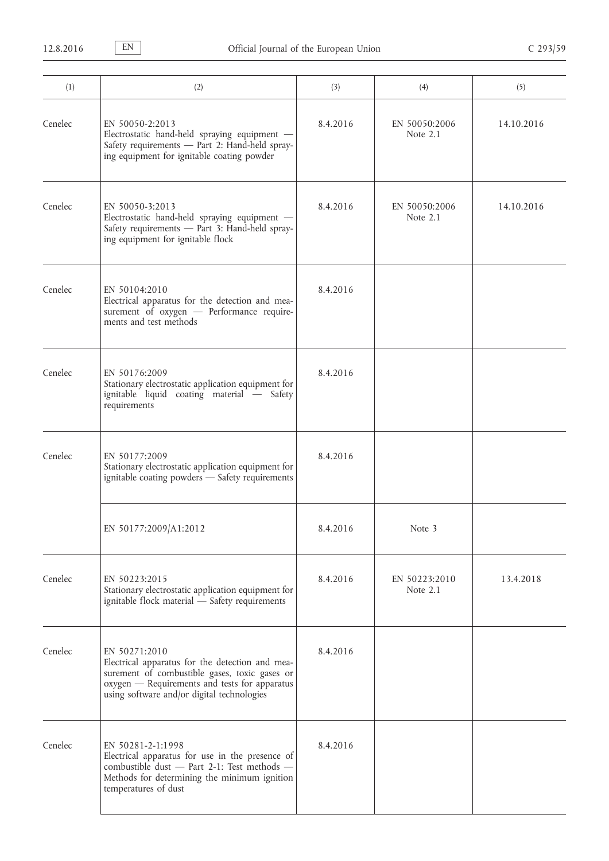| (1)     | (2)                                                                                                                                                                                                              | (3)      | (4)                         | (5)        |
|---------|------------------------------------------------------------------------------------------------------------------------------------------------------------------------------------------------------------------|----------|-----------------------------|------------|
| Cenelec | EN 50050-2:2013<br>Electrostatic hand-held spraying equipment -<br>Safety requirements - Part 2: Hand-held spray-<br>ing equipment for ignitable coating powder                                                  | 8.4.2016 | EN 50050:2006<br>Note 2.1   | 14.10.2016 |
| Cenelec | EN 50050-3:2013<br>Electrostatic hand-held spraying equipment -<br>Safety requirements - Part 3: Hand-held spray-<br>ing equipment for ignitable flock                                                           | 8.4.2016 | EN 50050:2006<br>Note 2.1   | 14.10.2016 |
| Cenelec | EN 50104:2010<br>Electrical apparatus for the detection and mea-<br>surement of oxygen - Performance require-<br>ments and test methods                                                                          | 8.4.2016 |                             |            |
| Cenelec | EN 50176:2009<br>Stationary electrostatic application equipment for<br>ignitable liquid coating material - Safety<br>requirements                                                                                | 8.4.2016 |                             |            |
| Cenelec | EN 50177:2009<br>Stationary electrostatic application equipment for<br>ignitable coating powders - Safety requirements                                                                                           | 8.4.2016 |                             |            |
|         | EN 50177:2009/A1:2012                                                                                                                                                                                            | 8.4.2016 | Note 3                      |            |
| Cenelec | EN 50223:2015<br>Stationary electrostatic application equipment for<br>ignitable flock material - Safety requirements                                                                                            | 8.4.2016 | EN 50223:2010<br>Note $2.1$ | 13.4.2018  |
| Cenelec | EN 50271:2010<br>Electrical apparatus for the detection and mea-<br>surement of combustible gases, toxic gases or<br>oxygen - Requirements and tests for apparatus<br>using software and/or digital technologies | 8.4.2016 |                             |            |
| Cenelec | EN 50281-2-1:1998<br>Electrical apparatus for use in the presence of<br>combustible dust - Part 2-1: Test methods -<br>Methods for determining the minimum ignition<br>temperatures of dust                      | 8.4.2016 |                             |            |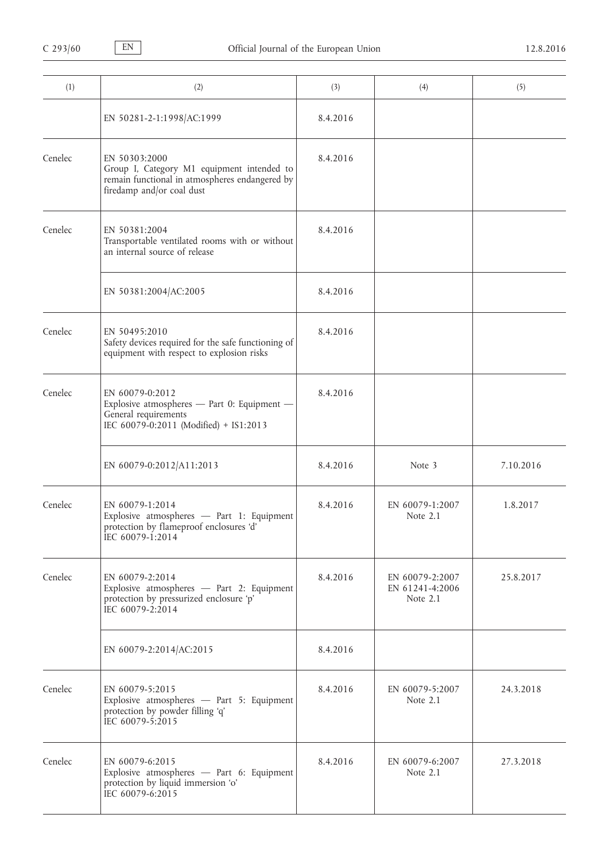| (1)     | (2)                                                                                                                                        | (3)      | (4)                                              | (5)       |
|---------|--------------------------------------------------------------------------------------------------------------------------------------------|----------|--------------------------------------------------|-----------|
|         | EN 50281-2-1:1998/AC:1999                                                                                                                  | 8.4.2016 |                                                  |           |
| Cenelec | EN 50303:2000<br>Group I, Category M1 equipment intended to<br>remain functional in atmospheres endangered by<br>firedamp and/or coal dust | 8.4.2016 |                                                  |           |
| Cenelec | EN 50381:2004<br>Transportable ventilated rooms with or without<br>an internal source of release                                           | 8.4.2016 |                                                  |           |
|         | EN 50381:2004/AC:2005                                                                                                                      | 8.4.2016 |                                                  |           |
| Cenelec | EN 50495:2010<br>Safety devices required for the safe functioning of<br>equipment with respect to explosion risks                          | 8.4.2016 |                                                  |           |
| Cenelec | EN 60079-0:2012<br>Explosive atmospheres - Part 0: Equipment -<br>General requirements<br>IEC 60079-0:2011 (Modified) + IS1:2013           | 8.4.2016 |                                                  |           |
|         | EN 60079-0:2012/A11:2013                                                                                                                   | 8.4.2016 | Note 3                                           | 7.10.2016 |
| Cenelec | EN 60079-1:2014<br>Explosive atmospheres - Part 1: Equipment<br>protection by flameproof enclosures 'd'<br>IEC 60079-1:2014                | 8.4.2016 | EN 60079-1:2007<br>Note 2.1                      | 1.8.2017  |
| Cenelec | EN 60079-2:2014<br>Explosive atmospheres - Part 2: Equipment<br>protection by pressurized enclosure 'p'<br>IEC 60079-2:2014                | 8.4.2016 | EN 60079-2:2007<br>EN 61241-4:2006<br>Note $2.1$ | 25.8.2017 |
|         | EN 60079-2:2014/AC:2015                                                                                                                    | 8.4.2016 |                                                  |           |
| Cenelec | EN 60079-5:2015<br>Explosive atmospheres - Part 5: Equipment<br>protection by powder filling 'q'<br>IEC 60079-5:2015                       | 8.4.2016 | EN 60079-5:2007<br>Note 2.1                      | 24.3.2018 |
| Cenelec | EN 60079-6:2015<br>Explosive atmospheres - Part 6: Equipment<br>protection by liquid immersion 'o'<br>IEC 60079-6:2015                     | 8.4.2016 | EN 60079-6:2007<br>Note 2.1                      | 27.3.2018 |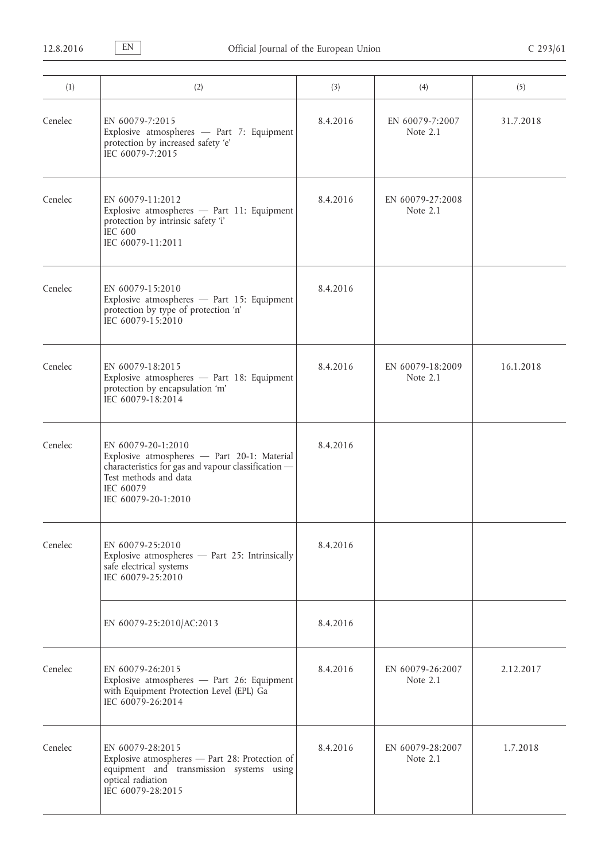| (1)     | (2)                                                                                                                                                                                   | (3)      | (4)                            | (5)       |
|---------|---------------------------------------------------------------------------------------------------------------------------------------------------------------------------------------|----------|--------------------------------|-----------|
| Cenelec | EN 60079-7:2015<br>Explosive atmospheres - Part 7: Equipment<br>protection by increased safety 'e'<br>IEC 60079-7:2015                                                                | 8.4.2016 | EN 60079-7:2007<br>Note 2.1    | 31.7.2018 |
| Cenelec | EN 60079-11:2012<br>Explosive atmospheres - Part 11: Equipment<br>protection by intrinsic safety 'i'<br><b>IEC 600</b><br>IEC 60079-11:2011                                           | 8.4.2016 | EN 60079-27:2008<br>Note 2.1   |           |
| Cenelec | EN 60079-15:2010<br>Explosive atmospheres - Part 15: Equipment<br>protection by type of protection 'n'<br>IEC 60079-15:2010                                                           | 8.4.2016 |                                |           |
| Cenelec | EN 60079-18:2015<br>Explosive atmospheres - Part 18: Equipment<br>protection by encapsulation 'm'<br>IEC 60079-18:2014                                                                | 8.4.2016 | EN 60079-18:2009<br>Note 2.1   | 16.1.2018 |
| Cenelec | EN 60079-20-1:2010<br>Explosive atmospheres - Part 20-1: Material<br>characteristics for gas and vapour classification -<br>Test methods and data<br>IEC 60079<br>IEC 60079-20-1:2010 | 8.4.2016 |                                |           |
| Cenelec | EN 60079-25:2010<br>Explosive atmospheres - Part 25: Intrinsically<br>safe electrical systems<br>IEC 60079-25:2010                                                                    | 8.4.2016 |                                |           |
|         | EN 60079-25:2010/AC:2013                                                                                                                                                              | 8.4.2016 |                                |           |
| Cenelec | EN 60079-26:2015<br>Explosive atmospheres - Part 26: Equipment<br>with Equipment Protection Level (EPL) Ga<br>IEC 60079-26:2014                                                       | 8.4.2016 | EN 60079-26:2007<br>Note 2.1   | 2.12.2017 |
| Cenelec | EN 60079-28:2015<br>Explosive atmospheres - Part 28: Protection of<br>equipment and transmission systems using<br>optical radiation<br>IEC 60079-28:2015                              | 8.4.2016 | EN 60079-28:2007<br>Note $2.1$ | 1.7.2018  |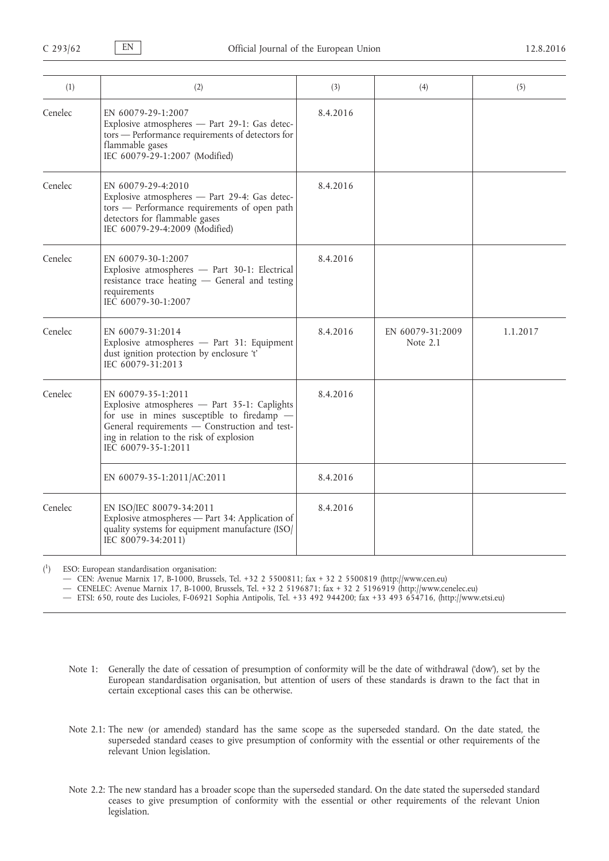| (1)     | (2)                                                                                                                                                                                                                                  | (3)      | (4)                          | (5)      |
|---------|--------------------------------------------------------------------------------------------------------------------------------------------------------------------------------------------------------------------------------------|----------|------------------------------|----------|
| Cenelec | EN 60079-29-1:2007<br>Explosive atmospheres - Part 29-1: Gas detec-<br>tors - Performance requirements of detectors for<br>flammable gases<br>IEC 60079-29-1:2007 (Modified)                                                         | 8.4.2016 |                              |          |
| Cenelec | EN 60079-29-4:2010<br>Explosive atmospheres - Part 29-4: Gas detec-<br>tors - Performance requirements of open path<br>detectors for flammable gases<br>IEC 60079-29-4:2009 (Modified)                                               | 8.4.2016 |                              |          |
| Cenelec | EN 60079-30-1:2007<br>Explosive atmospheres - Part 30-1: Electrical<br>resistance trace heating - General and testing<br>requirements<br>IEC 60079-30-1:2007                                                                         | 8.4.2016 |                              |          |
| Cenelec | EN 60079-31:2014<br>Explosive atmospheres - Part 31: Equipment<br>dust ignition protection by enclosure 't'<br>IEC 60079-31:2013                                                                                                     | 8.4.2016 | EN 60079-31:2009<br>Note 2.1 | 1.1.2017 |
| Cenelec | EN 60079-35-1:2011<br>Explosive atmospheres - Part 35-1: Caplights<br>for use in mines susceptible to firedamp -<br>General requirements - Construction and test-<br>ing in relation to the risk of explosion<br>IEC 60079-35-1:2011 | 8.4.2016 |                              |          |
|         | EN 60079-35-1:2011/AC:2011                                                                                                                                                                                                           | 8.4.2016 |                              |          |
| Cenelec | EN ISO/IEC 80079-34:2011<br>Explosive atmospheres - Part 34: Application of<br>quality systems for equipment manufacture (ISO/<br>IEC 80079-34:2011)                                                                                 | 8.4.2016 |                              |          |

 $($ <sup>1</sup> ) ESO: European standardisation organisation:

— CEN: Avenue Marnix 17, B-1000, Brussels, Tel. +32 2 5500811; fax + 32 2 5500819 [\(http://www.cen.eu\)](http://www.cen.eu)

— CENELEC: Avenue Marnix 17, B-1000, Brussels, Tel. +32 2 5196871; fax + 32 2 5196919 ([http://www.cenelec.eu\)](http://www.cenelec.eu)

— ETSI: 650, route des Lucioles, F-06921 Sophia Antipolis, Tel. +33 492 944200; fax +33 493 654716, ([http://www.etsi.eu\)](http://www.etsi.eu)

- Note 1: Generally the date of cessation of presumption of conformity will be the date of withdrawal ('dow'), set by the European standardisation organisation, but attention of users of these standards is drawn to the fact that in certain exceptional cases this can be otherwise.
- Note 2.1: The new (or amended) standard has the same scope as the superseded standard. On the date stated, the superseded standard ceases to give presumption of conformity with the essential or other requirements of the relevant Union legislation.
- Note 2.2: The new standard has a broader scope than the superseded standard. On the date stated the superseded standard ceases to give presumption of conformity with the essential or other requirements of the relevant Union legislation.